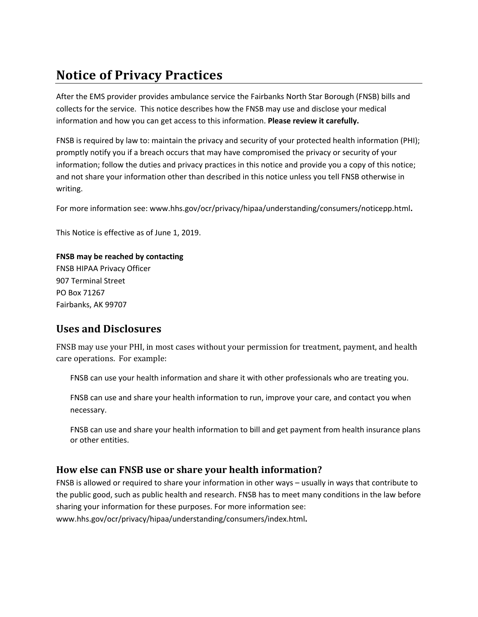# **Notice of Privacy Practices**

After the EMS provider provides ambulance service the Fairbanks North Star Borough (FNSB) bills and collects for the service. This notice describes how the FNSB may use and disclose your medical information and how you can get access to this information. **Please review it carefully.**

FNSB is required by law to: maintain the privacy and security of your protected health information (PHI); promptly notify you if a breach occurs that may have compromised the privacy or security of your information; follow the duties and privacy practices in this notice and provide you a copy of this notice; and not share your information other than described in this notice unless you tell FNSB otherwise in writing.

For more information see: www.hhs.gov/ocr/privacy/hipaa/understanding/consumers/noticepp.html**.**

This Notice is effective as of June 1, 2019.

# **FNSB may be reached by contacting**

FNSB HIPAA Privacy Officer 907 Terminal Street PO Box 71267 Fairbanks, AK 99707

# **Uses and Disclosures**

FNSB may use your PHI, in most cases without your permission for treatment, payment, and health care operations. For example:

FNSB can use your health information and share it with other professionals who are treating you.

FNSB can use and share your health information to run, improve your care, and contact you when necessary.

FNSB can use and share your health information to bill and get payment from health insurance plans or other entities.

# **How else can FNSB use or share your health information?**

FNSB is allowed or required to share your information in other ways – usually in ways that contribute to the public good, such as public health and research. FNSB has to meet many conditions in the law before sharing your information for these purposes. For more information see: www.hhs.gov/ocr/privacy/hipaa/understanding/consumers/index.html**.**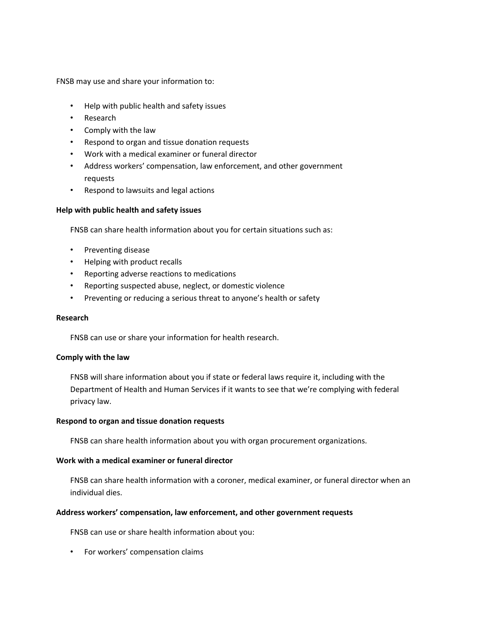FNSB may use and share your information to:

- Help with public health and safety issues
- Research
- Comply with the law
- Respond to organ and tissue donation requests
- Work with a medical examiner or funeral director
- Address workers' compensation, law enforcement, and other government requests
- Respond to lawsuits and legal actions

#### **Help with public health and safety issues**

FNSB can share health information about you for certain situations such as:

- Preventing disease
- Helping with product recalls
- Reporting adverse reactions to medications
- Reporting suspected abuse, neglect, or domestic violence
- Preventing or reducing a serious threat to anyone's health or safety

#### **Research**

FNSB can use or share your information for health research.

#### **Comply with the law**

FNSB will share information about you if state or federal laws require it, including with the Department of Health and Human Services if it wants to see that we're complying with federal privacy law.

#### **Respond to organ and tissue donation requests**

FNSB can share health information about you with organ procurement organizations.

#### **Work with a medical examiner or funeral director**

FNSB can share health information with a coroner, medical examiner, or funeral director when an individual dies.

#### **Address workers' compensation, law enforcement, and other government requests**

FNSB can use or share health information about you:

• For workers' compensation claims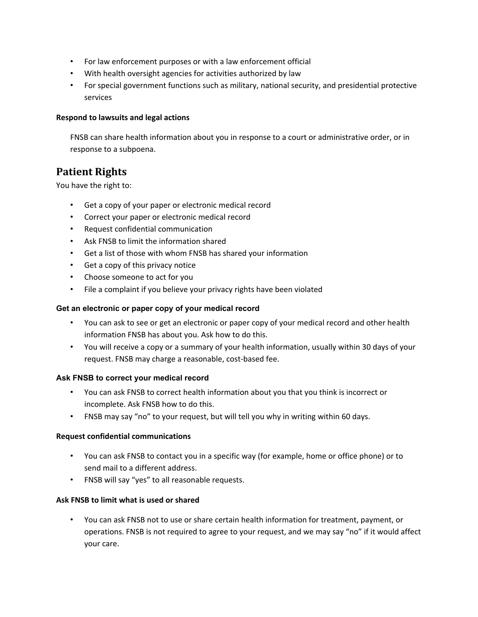- For law enforcement purposes or with a law enforcement official
- With health oversight agencies for activities authorized by law
- For special government functions such as military, national security, and presidential protective services

### **Respond to lawsuits and legal actions**

FNSB can share health information about you in response to a court or administrative order, or in response to a subpoena.

# **Patient Rights**

You have the right to:

- Get a copy of your paper or electronic medical record
- Correct your paper or electronic medical record
- Request confidential communication
- Ask FNSB to limit the information shared
- Get a list of those with whom FNSB has shared your information
- Get a copy of this privacy notice
- Choose someone to act for you
- File a complaint if you believe your privacy rights have been violated

# **Get an electronic or paper copy of your medical record**

- You can ask to see or get an electronic or paper copy of your medical record and other health information FNSB has about you. Ask how to do this.
- You will receive a copy or a summary of your health information, usually within 30 days of your request. FNSB may charge a reasonable, cost-based fee.

### **Ask FNSB to correct your medical record**

- You can ask FNSB to correct health information about you that you think is incorrect or incomplete. Ask FNSB how to do this.
- FNSB may say "no" to your request, but will tell you why in writing within 60 days.

### **Request confidential communications**

- You can ask FNSB to contact you in a specific way (for example, home or office phone) or to send mail to a different address.
- FNSB will say "yes" to all reasonable requests.

# **Ask FNSB to limit what is used or shared**

• You can ask FNSB not to use or share certain health information for treatment, payment, or operations. FNSB is not required to agree to your request, and we may say "no" if it would affect your care.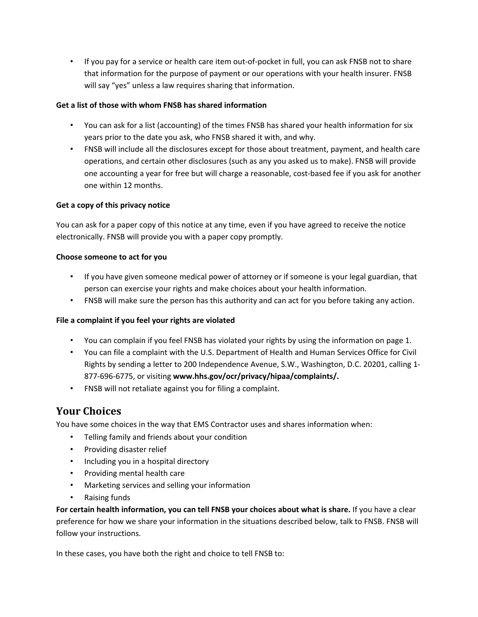• If you pay for a service or health care item out-of-pocket in full, you can ask FNSB not to share that information for the purpose of payment or our operations with your health insurer. FNSB will say "yes" unless a law requires sharing that information.

# **Get a list of those with whom FNSB has shared information**

- You can ask for a list (accounting) of the times FNSB has shared your health information for six years prior to the date you ask, who FNSB shared it with, and why.
- FNSB will include all the disclosures except for those about treatment, payment, and health care operations, and certain other disclosures (such as any you asked us to make). FNSB will provide one accounting a year for free but will charge a reasonable, cost-based fee if you ask for another one within 12 months.

### **Get a copy of this privacy notice**

You can ask for a paper copy of this notice at any time, even if you have agreed to receive the notice electronically. FNSB will provide you with a paper copy promptly.

### **Choose someone to act for you**

- If you have given someone medical power of attorney or if someone is your legal guardian, that person can exercise your rights and make choices about your health information.
- FNSB will make sure the person has this authority and can act for you before taking any action.

# **File a complaint if you feel your rights are violated**

- You can complain if you feel FNSB has violated your rights by using the information on page 1.
- You can file a complaint with the U.S. Department of Health and Human Services Office for Civil Rights by sending a letter to 200 Independence Avenue, S.W., Washington, D.C. 20201, calling 1- 877-696-6775, or visiting **www.hhs.gov/ocr/privacy/hipaa/complaints/.**
- FNSB will not retaliate against you for filing a complaint.

# **Your Choices**

You have some choices in the way that EMS Contractor uses and shares information when:

- Telling family and friends about your condition
- Providing disaster relief
- Including you in a hospital directory
- Providing mental health care
- Marketing services and selling your information
- Raising funds

**For certain health information, you can tell FNSB your choices about what is share.** If you have a clear preference for how we share your information in the situations described below, talk to FNSB. FNSB will follow your instructions.

In these cases, you have both the right and choice to tell FNSB to: